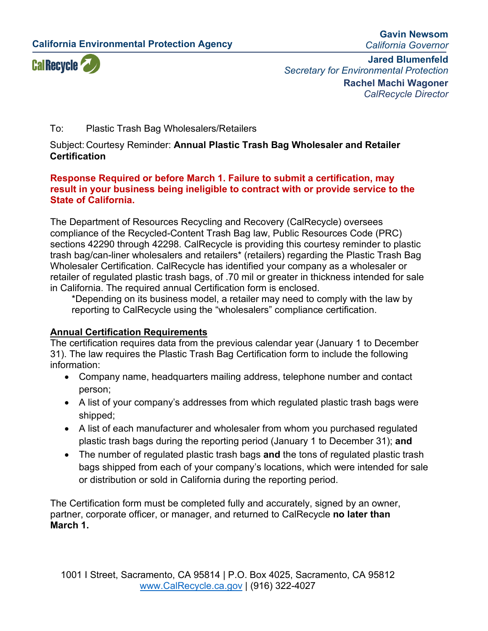**California Environmental Protection Agency**

**Gavin Newsom** *California Governor*



**Jared Blumenfeld** *Secretary for Environmental Protection* **Rachel Machi Wagoner** *CalRecycle Director*

### To: Plastic Trash Bag Wholesalers/Retailers

Subject: Courtesy Reminder: **Annual Plastic Trash Bag Wholesaler and Retailer Certification**

#### **Response Required or before March 1. Failure to submit a certification, may result in your business being ineligible to contract with or provide service to the State of California.**

The Department of Resources Recycling and Recovery (CalRecycle) oversees compliance of the Recycled-Content Trash Bag law, Public Resources Code (PRC) sections 42290 through 42298. CalRecycle is providing this courtesy reminder to plastic trash bag/can-liner wholesalers and retailers\* (retailers) regarding the Plastic Trash Bag Wholesaler Certification. CalRecycle has identified your company as a wholesaler or retailer of regulated plastic trash bags, of .70 mil or greater in thickness intended for sale in California. The required annual Certification form is enclosed.

\*Depending on its business model, a retailer may need to comply with the law by reporting to CalRecycle using the "wholesalers" compliance certification.

# **Annual Certification Requirements**

The certification requires data from the previous calendar year (January 1 to December 31). The law requires the Plastic Trash Bag Certification form to include the following information:

- Company name, headquarters mailing address, telephone number and contact person;
- A list of your company's addresses from which regulated plastic trash bags were shipped;
- A list of each manufacturer and wholesaler from whom you purchased regulated plastic trash bags during the reporting period (January 1 to December 31); **and**
- The number of regulated plastic trash bags **and** the tons of regulated plastic trash bags shipped from each of your company's locations, which were intended for sale or distribution or sold in California during the reporting period.

The Certification form must be completed fully and accurately, signed by an owner, partner, corporate officer, or manager, and returned to CalRecycle **no later than March 1.**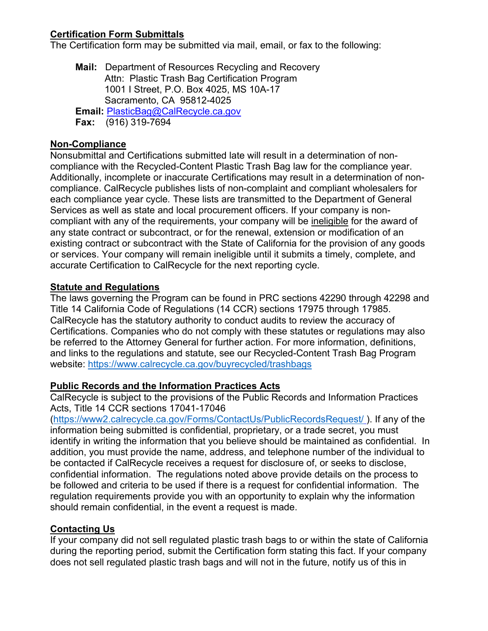## **Certification Form Submittals**

The Certification form may be submitted via mail, email, or fax to the following:

**Mail:** Department of Resources Recycling and Recovery Attn: Plastic Trash Bag Certification Program 1001 I Street, P.O. Box 4025, MS 10A-17 Sacramento, CA 95812-4025 **Email:** [PlasticBag@CalRecycle.ca.gov](mailto:PlasticBag@CalRecycle.ca.gov) **Fax:** (916) 319-7694

## **Non-Compliance**

Nonsubmittal and Certifications submitted late will result in a determination of noncompliance with the Recycled-Content Plastic Trash Bag law for the compliance year. Additionally, incomplete or inaccurate Certifications may result in a determination of noncompliance. CalRecycle publishes lists of non-complaint and compliant wholesalers for each compliance year cycle*.* These lists are transmitted to the Department of General Services as well as state and local procurement officers. If your company is noncompliant with any of the requirements, your company will be ineligible for the award of any state contract or subcontract, or for the renewal, extension or modification of an existing contract or subcontract with the State of California for the provision of any goods or services. Your company will remain ineligible until it submits a timely, complete, and accurate Certification to CalRecycle for the next reporting cycle.

#### **Statute and Regulations**

The laws governing the Program can be found in PRC sections 42290 through 42298 and Title 14 California Code of Regulations (14 CCR) sections 17975 through 17985. CalRecycle has the statutory authority to conduct audits to review the accuracy of Certifications. Companies who do not comply with these statutes or regulations may also be referred to the Attorney General for further action. For more information, definitions, and links to the regulations and statute, see our Recycled-Content Trash Bag Program website: <https://www.calrecycle.ca.gov/buyrecycled/trashbags>

#### **Public Records and the Information Practices Acts**

CalRecycle is subject to the provisions of the Public Records and Information Practices Acts, Title 14 CCR sections 17041-17046

[\(https://www2.calrecycle.ca.gov/Forms/ContactUs/PublicRecordsRequest/](https://www2.calrecycle.ca.gov/Forms/ContactUs/PublicRecordsRequest/) ). If any of the information being submitted is confidential, proprietary, or a trade secret, you must identify in writing the information that you believe should be maintained as confidential. In addition, you must provide the name, address, and telephone number of the individual to be contacted if CalRecycle receives a request for disclosure of, or seeks to disclose, confidential information. The regulations noted above provide details on the process to be followed and criteria to be used if there is a request for confidential information. The regulation requirements provide you with an opportunity to explain why the information should remain confidential, in the event a request is made.

### **Contacting Us**

If your company did not sell regulated plastic trash bags to or within the state of California during the reporting period, submit the Certification form stating this fact. If your company does not sell regulated plastic trash bags and will not in the future, notify us of this in